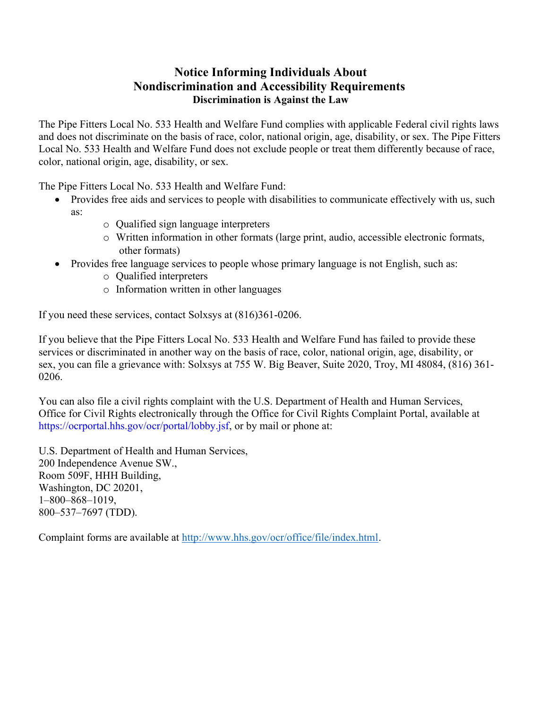## Notice Informing Individuals About Nondiscrimination and Accessibility Requirements Discrimination is Against the Law

The Pipe Fitters Local No. 533 Health and Welfare Fund complies with applicable Federal civil rights laws and does not discriminate on the basis of race, color, national origin, age, disability, or sex. The Pipe Fitters Local No. 533 Health and Welfare Fund does not exclude people or treat them differently because of race, color, national origin, age, disability, or sex.

The Pipe Fitters Local No. 533 Health and Welfare Fund:

- Provides free aids and services to people with disabilities to communicate effectively with us, such as:
	- o Qualified sign language interpreters
	- o Written information in other formats (large print, audio, accessible electronic formats, other formats)
- Provides free language services to people whose primary language is not English, such as:
	- o Qualified interpreters
	- o Information written in other languages

If you need these services, contact Solxsys at (816)361-0206.

If you believe that the Pipe Fitters Local No. 533 Health and Welfare Fund has failed to provide these services or discriminated in another way on the basis of race, color, national origin, age, disability, or sex, you can file a grievance with: Solxsys at 755 W. Big Beaver, Suite 2020, Troy, MI 48084, (816) 361- 0206.

You can also file a civil rights complaint with the U.S. Department of Health and Human Services, Office for Civil Rights electronically through the Office for Civil Rights Complaint Portal, available at https://ocrportal.hhs.gov/ocr/portal/lobby.jsf, or by mail or phone at:

U.S. Department of Health and Human Services, 200 Independence Avenue SW., Room 509F, HHH Building, Washington, DC 20201, 1–800–868–1019, 800–537–7697 (TDD).

Complaint forms are available at http://www.hhs.gov/ocr/office/file/index.html.